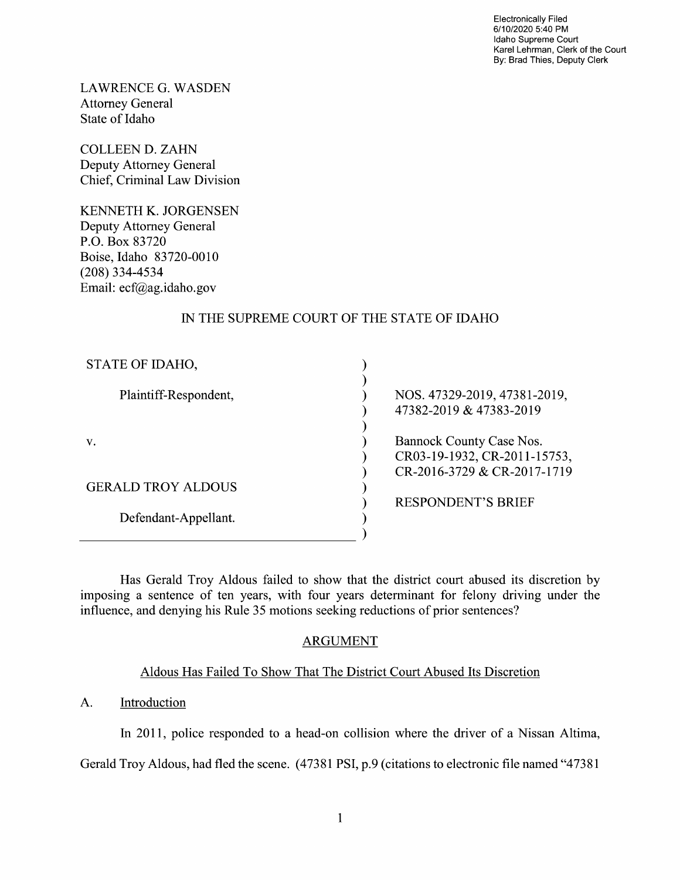Electronically Filed 6/1 0/2020 5:40 PM Idaho Supreme Court Karel Lehrman, Clerk of the Court By: Brad Thies, Deputy Clerk

LAWRENCE G.WASDEN Attorney General State of Idaho

COLLEEN D. ZAHN Deputy Attorney General Chief, Criminal Law Division

KENNETH K. JORGENSEN Deputy Attorney General P.O. BOX 83720 Boise, Idaho 83720-0010 (208) 334-4534 Email: ecf@ag.idah0.gov

# IN THE SUPREME COURT OF THE STATE OF IDAHO

| STATE OF IDAHO,           |                                                                                         |
|---------------------------|-----------------------------------------------------------------------------------------|
| Plaintiff-Respondent,     | NOS. 47329-2019, 47381-2019,<br>47382-2019 & 47383-2019                                 |
| V.                        | Bannock County Case Nos.<br>CR03-19-1932, CR-2011-15753,<br>CR-2016-3729 & CR-2017-1719 |
| <b>GERALD TROY ALDOUS</b> |                                                                                         |
| Defendant-Appellant.      | <b>RESPONDENT'S BRIEF</b>                                                               |

Has Gerald Troy Aldous failed to show that the district court abused its discretion by imposing a sentence of ten years, with four years determinant for felony driving under the influence, and denying his Rule 35 motions seeking reductions 0f prior sentences?

# ARGUMENT

# Aldous Has Failed T0 Show That The District Court Abused Its Discretion

### A. Introduction

In 2011, police responded to a head-on collision where the driver of a Nissan Altima,

Gerald Troy Aldous, had fled the scene. (47381 PSI, p.9 (citations to electronic file named "47381")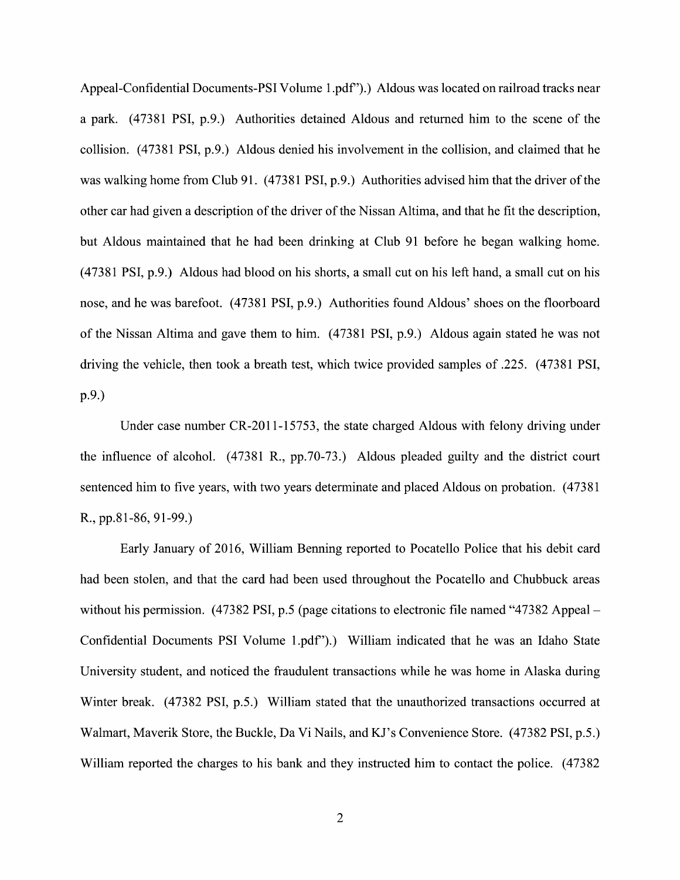Appeal-Confidential Documents—PSI Volume 1.pdf").) Aldous was located 0n railroad tracks near a park. (47381 PSI, p.9.) Authorities detained Aldous and returned him to the scene of the collision. (47381 PSI, p.9.) Aldous denied his involvement in the collision, and claimed that he was walking home from Club 91. (47381 PSI, p.9.) Authorities advised him that the driver of the other car had given description 0f the driver 0f the Nissan Altima, and that he fit the description, but Aldous maintained that he had been drinking at Club 91 before he began walking home.  $(47381$  PSI, p.9.) Aldous had blood on his shorts, a small cut on his left hand, a small cut on his nose, and he was barefoot. (47381 PSI, p.9.) Authorities found Aldous' shoes on the floorboard 0f the Nissan Altima and gave them to him. (47381 PSI, p.9.) Aldous again stated he was not driving the vehicle, then took a breath test, which twice provided samples of .225. (47381 PSI, p.9.)

Under case number CR-2011-15753, the state charged Aldous with felony driving under the influence 0f alcohol. (47381 R., pp.70-73.) Aldous pleaded guilty and the district court sentenced him to five years, With two years determinate and placed Aldous on probation. (47381 R., pp.81-86, 91-99.)

Early January 0f 2016, William Benning reported to Pocatello Police that his debit card had been stolen, and that the card had been used throughout the Pocatello and Chubbuck areas without his permission. (47382 PSI, p.5 (page citations to electronic file named "47382 Appeal – Confidential Documents PSI Volume 1.pdf').) William indicated that he was an Idaho State University student, and noticed the fraudulent transactions while he was home in Alaska during Winter break. (47382 PSI, p.5.) William stated that the unauthorized transactions occurred at Walmart, Maverik Store, the Buckle, Da Vi Nails, and KJ'S Convenience Store. (47382 PSI, p.5.) William reported the charges to his bank and they instructed him to contact the police. (47382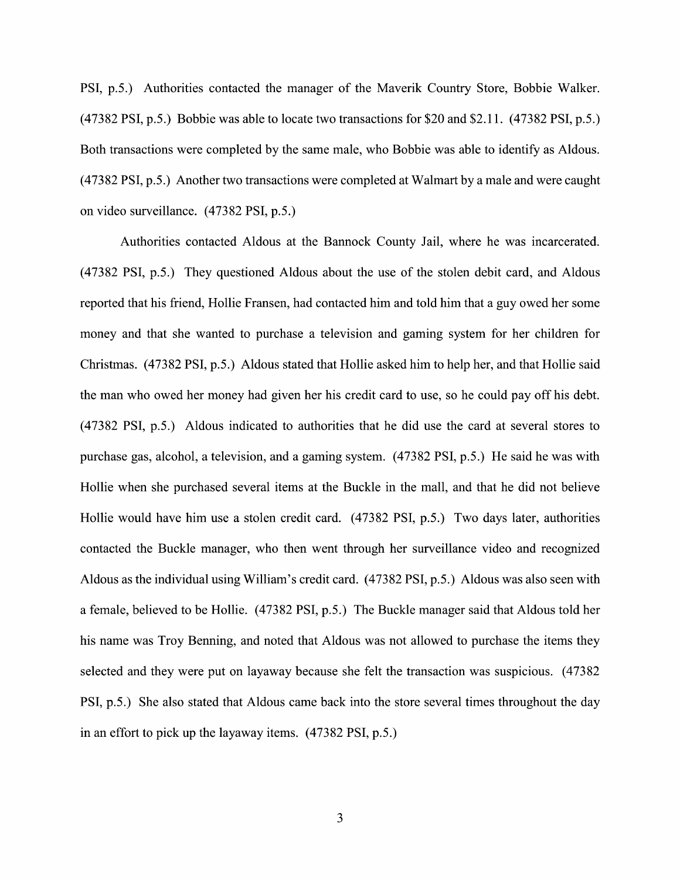PSI, p.5.) Authorities contacted the manager 0f the Maverik Country Store, Bobbie Walker. (47382 PSI, p.5.) Bobbie was able t0 locate two transactions for \$20 and \$2.1 1. (47382 PSI, p.5.) Both transactions were completed by the same male, who Bobbie was able to identify as Aldous.  $(47382 \text{ PSI}, p.5.)$  Another two transactions were completed at Walmart by a male and were caught 0n Video surveillance. (473 82 PSI, p.5.)

Authorities contacted Aldous at the Bannock County Jail, Where he was incarcerated. (47382 PSI, p.5.) They questioned Aldous about the use of the stolen debit card, and Aldous reported that his friend, Hollie Fransen, had contacted him and told him that guy owed her some money and that she wanted to purchase a television and gaming system for her children for Christmas. (47382 PSI, p.5.) Aldous stated that Hollie asked him t0 help her, and that Hollie said the man who owed her money had given her his credit card to use, so he could pay off his debt. (47382 PSI, p.5.) Aldous indicated to authorities that he did use the card at several stores t0 purchase gas, alcohol, a television, and a gaming system. (47382 PSI, p.5.) He said he was with Hollie When she purchased several items at the Buckle in the mall, and that he did not believe Hollie would have him use a stolen credit card. (47382 PSI, p.5.) Two days later, authorities contacted the Buckle manager, Who then went through her surveillance Video and recognized Aldous as the individual using William's credit card. (47382 PSI, p.5.) Aldous was also seen with a female, believed to be Hollie. (47382 PSI, p.5.) The Buckle manager said that Aldous told her his name was Troy Benning, and noted that Aldous was not allowed to purchase the items they selected and they were put on layaway because she felt the transaction was suspicious. (47382 PSI, p.5.) She also stated that Aldous came back into the store several times throughout the day in an effort to pick up the layaway items. (47382 PSI, p.5.)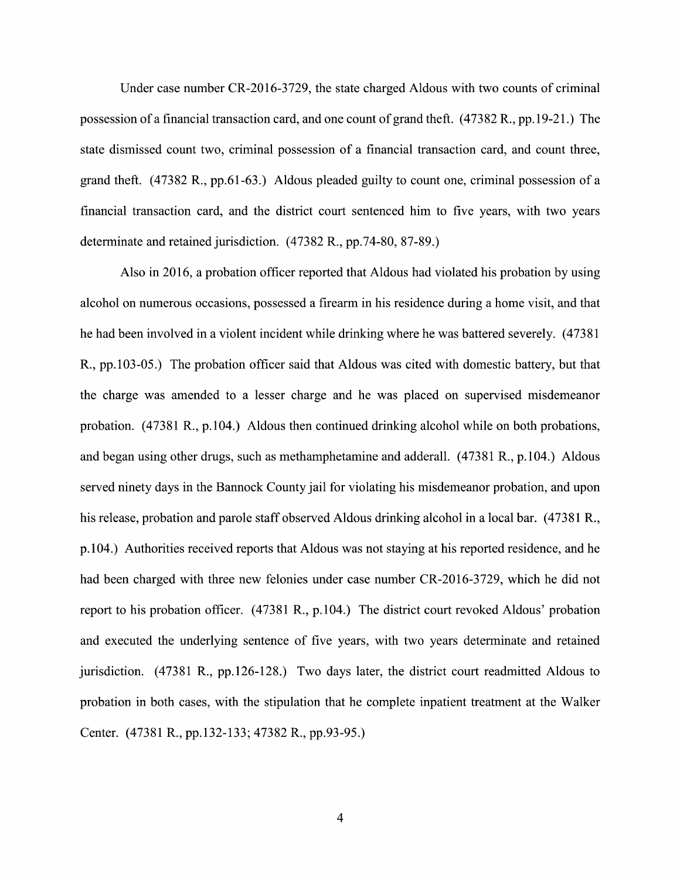Under case number CR-2016-3729, the state charged Aldous with two counts of criminal possession of a financial transaction card, and one count of grand theft. (47382 R., pp.19-21.) The state dismissed count two, criminal possession of a financial transaction card, and count three, grand theft.  $(47382 \text{ R}., \text{pp.61-63.})$  Aldous pleaded guilty to count one, criminal possession of a financial transaction card, and the district court sentenced him to five years, With two years determinate and retained jurisdiction. (47382 R., pp.74-80, 87-89.)

Also in 2016, a probation officer reported that Aldous had violated his probation by using alcohol on numerous occasions, possessed a firearm in his residence during a home visit, and that he had been involved in a violent incident while drinking where he was battered severely. (47381) R., pp.103-05.) The probation officer said that Aldous was cited with domestic battery, but that the charge was amended to a lesser charge and he was placed on supervised misdemeanor probation. (47381 R., p.104.) Aldous then continued drinking alcohol while on both probations, and began using other drugs, such as methamphetamine and adderall. (47381 R., p.104.) Aldous served ninety days in the Bannock County jail for violating his misdemeanor probation, and upon his release, probation and parole staff observed Aldous drinking alcohol in a local bar. (47381 R., p.104.) Authorities received reports that Aldous was not staying at his reported residence, and he had been charged with three new felonies under case number CR-2016-3729, which he did not report t0 his probation officer. (47381 R., p.104.) The district court revoked Aldous' probation and executed the underlying sentence 0f five years, with two years determinate and retained jurisdiction. (47381 R., pp.126-128.) Two days later, the district court readmitted Aldous to probation in both cases, with the stipulation that he complete inpatient treatment at the Walker Center. (47381 R., pp.132-133; 47382 R., pp.93-95.)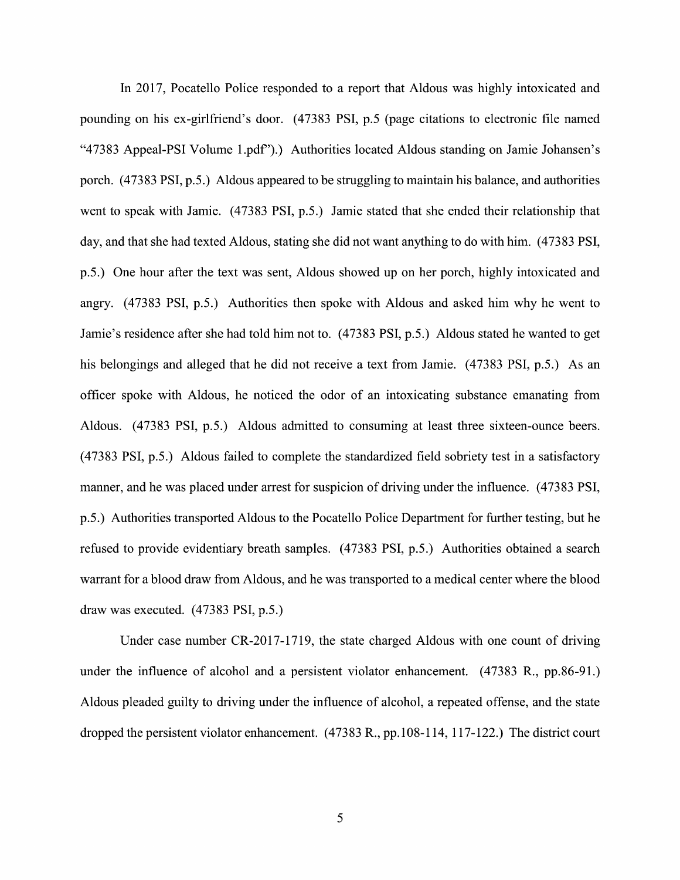In 2017, Pocatello Police responded to a report that Aldous was highly intoxicated and pounding 0n his eX-girlfriend's door. (47383 PSI, p.5 (page citations t0 electronic file named "47383 Appeal-PSI Volume 1.pdf').) Authorities located Aldous standing 0n Jamie Johansen's porch. (47383 PSI, p.5.) Aldous appeared to be struggling to maintain his balance, and authorities went to speak with Jamie. (47383 PSI, p.5.) Jamie stated that she ended their relationship that day, and that she had texted Aldous, stating she did not want anything to do With him. (47383 PSI, p.5.) One hour after the text was sent, Aldous showed up 0n her porch, highly intoxicated and angry. (47383 PSI, p.5.) Authorities then spoke with Aldous and asked him why he went to Jamie's residence after she had told him not to. (47383 PSI, p.5.) Aldous stated he wanted to get his belongings and alleged that he did not receive a text from Jamie.  $(47383 \text{ PSI}, p.5.)$  As an officer spoke With Aldous, he noticed the odor 0f an intoxicating substance emanating from Aldous. (47383 PSI, p.5.) Aldous admitted to consuming at least three sixteen-ounce beers.  $(47383 \text{ PSI}, p.5.)$  Aldous failed to complete the standardized field sobriety test in a satisfactory manner, and he was placed under arrest for suspicion 0f driving under the influence. (47383 PSI, p.5.) Authorities transported Aldous to the Pocatello Police Department for further testing, but he refused to provide evidentiary breath samples. (47383 PSI, p.5.) Authorities obtained a search warrant for a blood draw from Aldous, and he was transported to a medical center where the blood draw was executed. (47383 PSI, p.5.)

Under case number CR-2017-1719, the state charged Aldous With one count of driving Under case number CR-2017-1719, the state charged Aldous with one count of driving<br>under the influence of alcohol and a persistent violator enhancement. (47383 R., pp.86-91.) under the influence of alcohol and a persistent violator enhancement. (47383 R., pp.86-91.)<br>Aldous pleaded guilty to driving under the influence of alcohol, a repeated offense, and the state dropped the persistent violator enhancement. (47383 R., pp. 108-114, 117-122.) The district court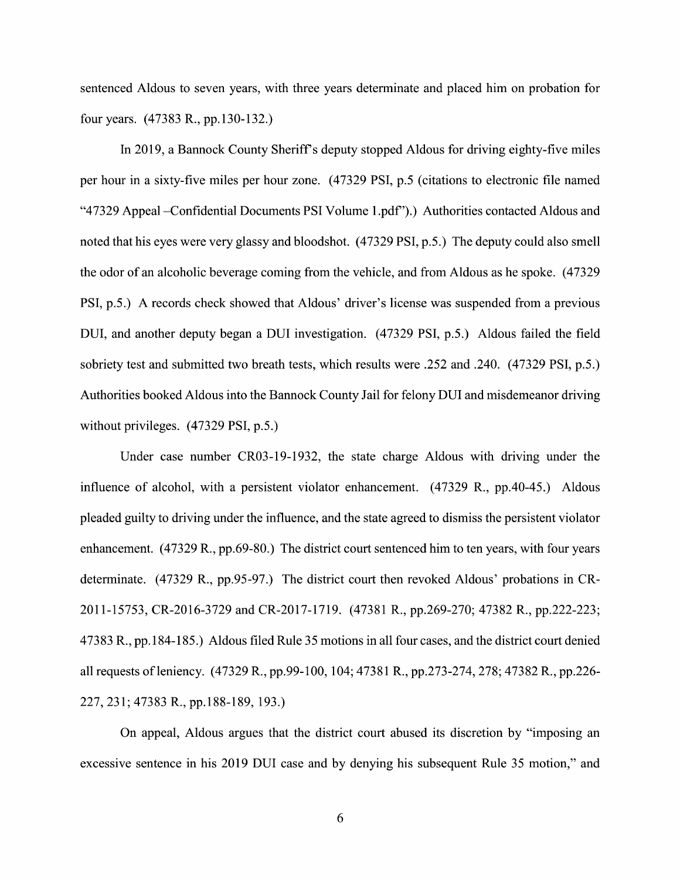sentenced Aldous to seven years, with three years determinate and placed him on probation for four years. (47383 R., pp.130-132.)

In 2019, a Bannock County Sheriff's deputy stopped Aldous for driving eighty-five miles per hour in a sixty-five miles per hour zone. (47329 PSI, p.5 (citations to electronic file named "47329 Appeal —C0nfidential Documents PSI Volume 1.pdf').) Authorities contacted Aldous and noted that his eyes were very glassy and bloodshot. (47329 PSI, p.5.) The deputy could also smell the odor of an alcoholic beverage coming from the vehicle, and from Aldous as he spoke. (47329 PSI, p.5.) A records check showed that Aldous' driver's license was suspended from a previous DUI, and another deputy began a DUI investigation. (47329 PSI, p.5.) Aldous failed the field sobriety test and submitted two breath tests, Which results were .252 and .240. (47329 PSI, p.5.) Authorities booked Aldous into the Bannock County Jail for felony DUI and misdemeanor driving without privileges. (47329 PSI, p.5.)

Under case number CRO3-19-1932, the state charge Aldous with driving under the influence of alcohol, with a persistent violator enhancement. (47329 R., pp.40-45.) Aldous pleaded guilty to driving under the influence, and the state agreed to dismiss the persistent violator enhancement.  $(47329 \text{ R}., \text{pp.69-80.})$  The district court sentenced him to ten years, with four years determinate. (47329 R., pp.95-97.) The district court then revoked Aldous' probations in CR-201 1-15753, CR-2016-3729 and CR-2017-1719. (47381 R., pp.269-270; 47382 R., pp.222-223; 47383 R., pp. 184-185.) Aldous filed Rule 35 motions in all four cases, and the district court denied all requests of leniency. (47329 R., pp.99-100, 104; 47381 R., pp.273-274, 278; 47382 R., pp.226-227, 231; 47383 R., pp.188-189, 193.)

On appeal, Aldous argues that the district court abused its discretion by "imposing an excessive sentence in his 2019 DUI case and by denying his subsequent Rule <sup>35</sup> motion," and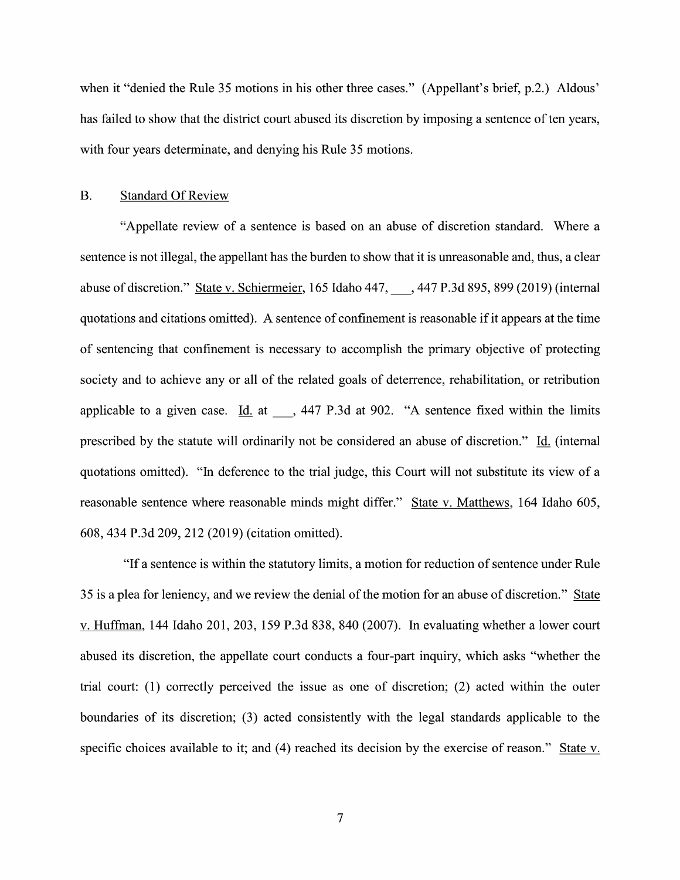when it "denied the Rule 35 motions in his other three cases." (Appellant's brief, p.2.) Aldous' has failed to show that the district court abused its discretion by imposing a sentence of ten years, with four years determinate, and denying his Rule 35 motions.

### B. Standard Of Review

"Appellate review of a sentence is based on an abuse of discretion standard. Where a sentence is not illegal, the appellant has the burden to show that it is unreasonable and, thus, a clear abuse of discretion." State v. Schiermeier, 165 Idaho 447, ..., 447 P.3d 895, 899 (2019) (internal quotations and citations omitted). A sentence of confinement is reasonable if it appears at the time 0f sentencing that confinement is necessary t0 accomplish the primary objective 0f protecting society and to achieve any 0r all of the related goals of deterrence, rehabilitation, or retribution applicable to a given case. Id. at  $\phantom{0}$ , 447 P.3d at 902. "A sentence fixed within the limits prescribed by the statute will ordinarily not be considered an abuse of discretion." Id. (internal quotations omitted). "In deference to the trial judge, this Court will not substitute its view of a reasonable sentence where reasonable minds might differ." State V. Matthews, 164 Idaho 605, 608, 434 P.3d 209, 212 (2019) (citation omitted).

"If a sentence is within the statutory limits, a motion for reduction of sentence under Rule 35 is a plea for leniency, and we review the denial of the motion for an abuse of discretion." State v. Huffman, 144 Idaho 201, 203, 159 P.3d 838, 840 (2007). In evaluating whether a lower court abused its discretion, the appellate court conducts a four-part inquiry, which asks "whether the trial court: (1) correctly perceived the issue as one 0f discretion; (2) acted within the outer boundaries of its discretion; (3) acted consistently with the legal standards applicable to the specific choices available to it; and (4) reached its decision by the exercise of reason." State v.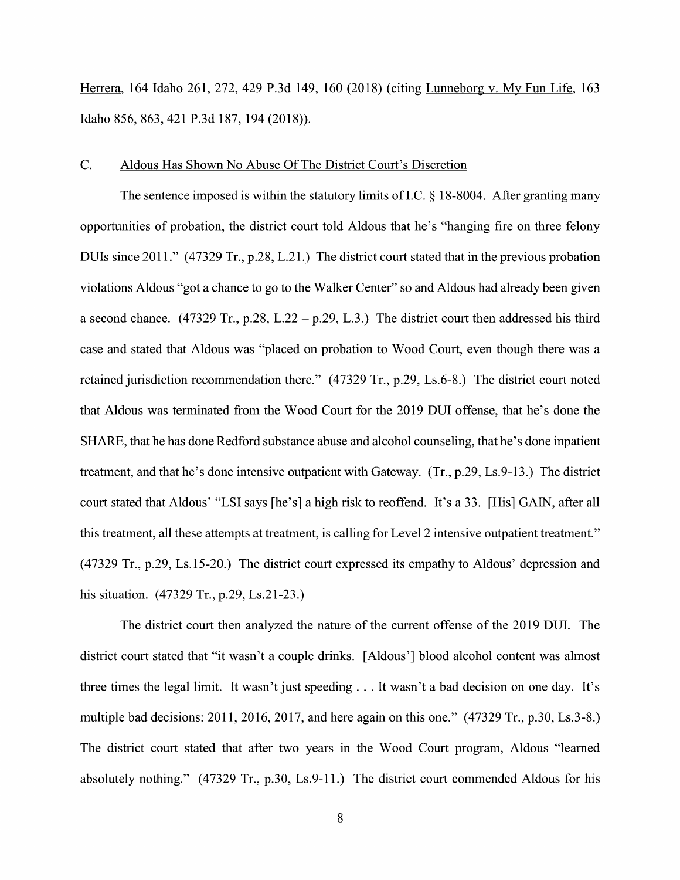Herrera, <sup>164</sup> Idaho 261, 272, <sup>429</sup> P.3d 149, <sup>160</sup> (2018) (citing Lunneborg V. MV Fun Life, <sup>163</sup> Idaho 856, 863, <sup>421</sup> P.3d 187, <sup>194</sup> (2018)).

#### C. Aldous Has Shown N0 Abuse Of The District Court's Discretion

The sentence imposed is within the statutory limits of I.C.  $\S$  18-8004. After granting many opportunities 0f probation, the district court told Aldous that he's "hanging fire 0n three felony DUIs since 2011." (47329 Tr., p.28, L.21.) The district court stated that in the previous probation<br>violations Aldous "got a chance to go to the Walker Center" so and Aldous had already been given a second chance. (47329 Tr., p.28, L.22 – p.29, L.3.) The district court then addressed his third case and stated that Aldous was "placed on probation to Wood Court, even though there was a retained jurisdiction recommendation there." (47329 Tr., p.29, Ls.6—8.) The district court noted that Aldous was terminated from the Wood Court for the 2019 DUI offense, that he's done the SHARE, that he has done Redford substance abuse and alcohol counseling, that he's done inpatient treatment, and that he's done intensive outpatient with Gateway.  $(Tr, p.29, Ls.9-13.)$  The district court stated that Aldous' "LSI says [he's] a high risk to reoffend. It's a 33. [His] GAIN, after all this treatment, all these attempts at treatment, is calling for Level 2 intensive outpatient treatment." (47329 Tr., p.29, Ls.15-20.) The district court expressed its empathy t0 Aldous' depression and his situation. (47329 Tr., p.29, Ls.21-23.)

The district court then analyzed the nature of the current offense of the 2019 DUI. The district court stated that "it wasn't a couple drinks. [Aldous'] blood alcohol content was almost three times the legal limit. It wasn't just speeding  $\dots$  It wasn't a bad decision on one day. It's multiple bad decisions: 2011, 2016, 2017, and here again on this one." (47329 Tr., p.30, Ls.3-8.) The district court stated that after two years in the Wood Court program, Aldous "learned absolutely nothing." (47329 Tr., p.30, Ls.9-11.) The district court commended Aldous for his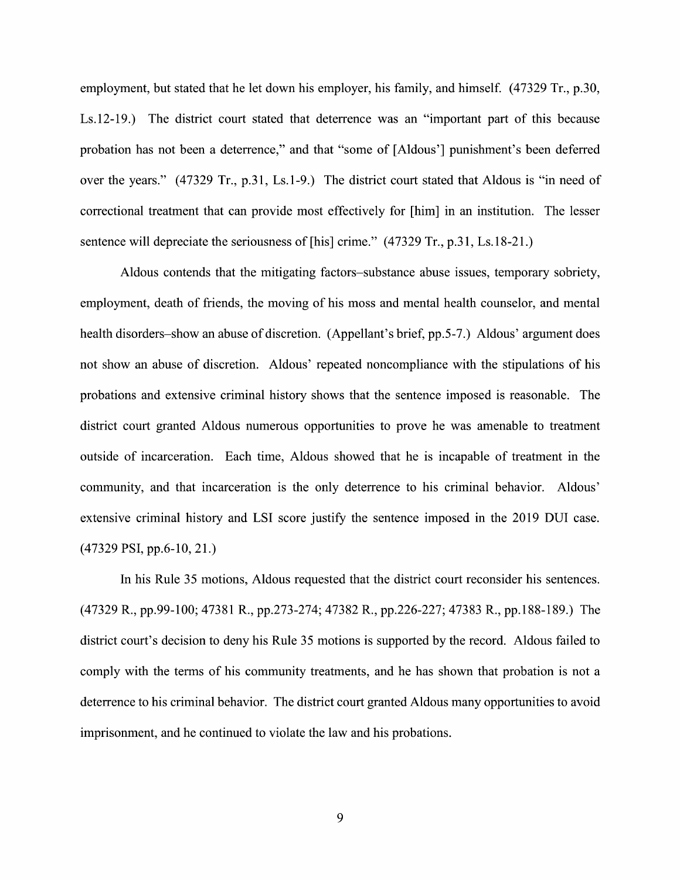employment, but stated that he let down his employer, his family, and himself. (47329 Tr., p.30, Ls.12-19.) The district court stated that deterrence was an "important part of this because probation has not been a deterrence," and that "some of [Aldous'] punishment's been deferred over the years." (47329 Tr., p.31, Ls.1-9.) The district court stated that Aldous is "in need 0f correctional treatment that can provide most effectively for [him] in an institution. The lesser sentence will depreciate the seriousness of [his] crime." (47329 Tr., p.31, Ls.18-21.)

Aldous contends that the mitigating factors—substance abuse issues, temporary sobriety, employment, death 0f friends, the moving 0f his moss and mental health counselor, and mental health disorders—show an abuse 0f discretion. (Appellant's brief, pp.5-7.) Aldous' argument does not show an abuse of discretion. Aldous' repeated noncompliance with the stipulations of his probations and extensive criminal history shows that the sentence imposed is reasonable. The district court granted Aldous numerous opportunities to prove he was amenable to treatment outside 0f incarceration. Each time, Aldous showed that he is incapable of treatment in the community, and that incarceration is the only deterrence to his criminal behavior. Aldous' extensive criminal history and LSI score justify the sentence imposed in the 2019 DUI case. (47329 PSI, pp.6-10, 21.)

In his Rule 35 motions, Aldous requested that the district court reconsider his sentences. (47329 R., pp.99-100; 47381 R., pp.273-274; 47382 R., pp.226-227; 47383 R., pp.188-189.) The district court's decision to deny his Rule 35 motions is supported by the record. Aldous failed to comply with the terms of his community treatments, and he has shown that probation is not a deterrence to his criminal behavior. The district court granted Aldous many opportunities to avoid imprisonment, and he continued to violate the law and his probations.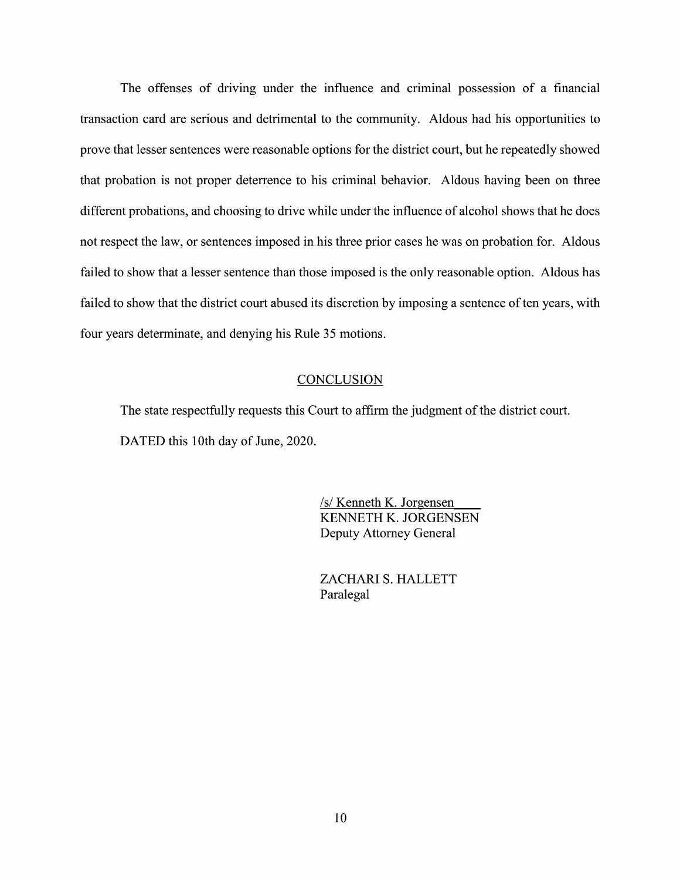The offenses of driving under the influence and criminal possession of a financial transaction card are serious and detrimental to the community. Aldous had his opportunities to prove that lesser sentences were reasonable options for the district court, but he repeatedly showed that probation is not proper deterrence to his criminal behavior. Aldous having been on three different probations, and choosing to drive While under the influence of alcohol shows that he does not respect the law, 0r sentences imposed in his three prior cases he was 0n probation for. Aldous failed to show that a lesser sentence than those imposed is the only reasonable option. Aldous has failed to show that the district court abused its discretion by imposing a sentence of ten years, with four years determinate, and denying his Rule 35 motions.

### **CONCLUSION**

The state respectfully requests this Court to affirm the judgment of the district court. DATED this 10th day 0f June, 2020.

> /s/ Kenneth K. Jorgensen KENNETH K. JORGENSEN Deputy Attorney General

ZACHARI S. HALLETT Paralegal